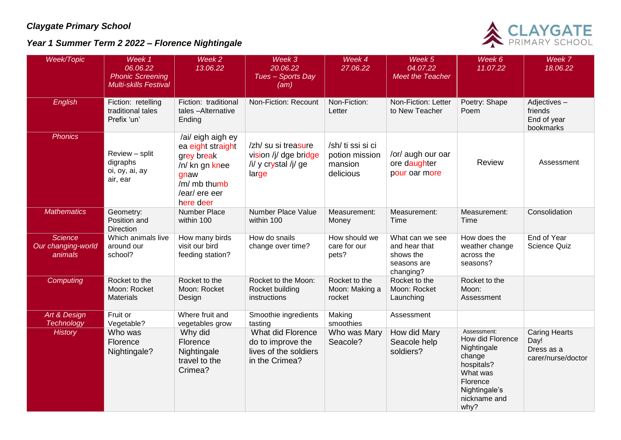## *Claygate Primary School*

*Year 1 Summer Term 2 2022 – Florence Nightingale*



| Week/Topic                                      | Week 1<br>06.06.22<br><b>Phonic Screening</b><br><b>Multi-skills Festival</b> | Week <sub>2</sub><br>13.06.22                                                                                                | Week 3<br>20.06.22<br>Tues - Sports Day<br>(am)                                   | Week 4<br>27.06.22                                          | Week 5<br>04.07.22<br><b>Meet the Teacher</b>                             | Week 6<br>11.07.22                                                                                                                      | Week 7<br>18.06.22                                               |
|-------------------------------------------------|-------------------------------------------------------------------------------|------------------------------------------------------------------------------------------------------------------------------|-----------------------------------------------------------------------------------|-------------------------------------------------------------|---------------------------------------------------------------------------|-----------------------------------------------------------------------------------------------------------------------------------------|------------------------------------------------------------------|
| English                                         | Fiction: retelling<br>traditional tales<br>Prefix 'un'                        | Fiction: traditional<br>tales-Alternative<br>Ending                                                                          | Non-Fiction: Recount                                                              | Non-Fiction:<br>Letter                                      | Non-Fiction: Letter<br>to New Teacher                                     | Poetry: Shape<br>Poem                                                                                                                   | Adjectives-<br>friends<br>End of year<br>bookmarks               |
| <b>Phonics</b>                                  | Review - split<br>digraphs<br>oi, oy, ai, ay<br>air, ear                      | /ai/ eigh aigh ey<br>ea eight straight<br>grey break<br>/n/ kn gn knee<br>gnaw<br>/m/ mb thumb<br>/ear/ ere eer<br>here deer | /zh/ su si treasure<br>vision /j/ dge bridge<br>/i/ y crystal /j/ ge<br>large     | /sh/ ti ssi si ci<br>potion mission<br>mansion<br>delicious | /or/ augh our oar<br>ore daughter<br>pour oar more                        | Review                                                                                                                                  | Assessment                                                       |
| <b>Mathematics</b>                              | Geometry:<br>Position and<br><b>Direction</b>                                 | <b>Number Place</b><br>within 100                                                                                            | Number Place Value<br>within 100                                                  | Measurement:<br>Money                                       | Measurement:<br>Time                                                      | Measurement:<br>Time                                                                                                                    | Consolidation                                                    |
| <b>Science</b><br>Our changing-world<br>animals | Which animals live<br>around our<br>school?                                   | How many birds<br>visit our bird<br>feeding station?                                                                         | How do snails<br>change over time?                                                | How should we<br>care for our<br>pets?                      | What can we see<br>and hear that<br>shows the<br>seasons are<br>changing? | How does the<br>weather change<br>across the<br>seasons?                                                                                | End of Year<br>Science Quiz                                      |
| Computing                                       | Rocket to the<br>Moon: Rocket<br><b>Materials</b>                             | Rocket to the<br>Moon: Rocket<br>Design                                                                                      | Rocket to the Moon:<br>Rocket building<br>instructions                            | Rocket to the<br>Moon: Making a<br>rocket                   | Rocket to the<br>Moon: Rocket<br>Launching                                | Rocket to the<br>Moon:<br>Assessment                                                                                                    |                                                                  |
| Art & Design<br><b>Technology</b>               | Fruit or<br>Vegetable?                                                        | Where fruit and<br>vegetables grow                                                                                           | Smoothie ingredients<br>tasting                                                   | Making<br>smoothies                                         | Assessment                                                                |                                                                                                                                         |                                                                  |
| <b>History</b>                                  | Who was<br>Florence<br>Nightingale?                                           | Why did<br>Florence<br>Nightingale<br>travel to the<br>Crimea?                                                               | What did Florence<br>do to improve the<br>lives of the soldiers<br>in the Crimea? | Who was Mary<br>Seacole?                                    | How did Mary<br>Seacole help<br>soldiers?                                 | Assessment:<br>How did Florence<br>Nightingale<br>change<br>hospitals?<br>What was<br>Florence<br>Nightingale's<br>nickname and<br>why? | <b>Caring Hearts</b><br>Day!<br>Dress as a<br>carer/nurse/doctor |